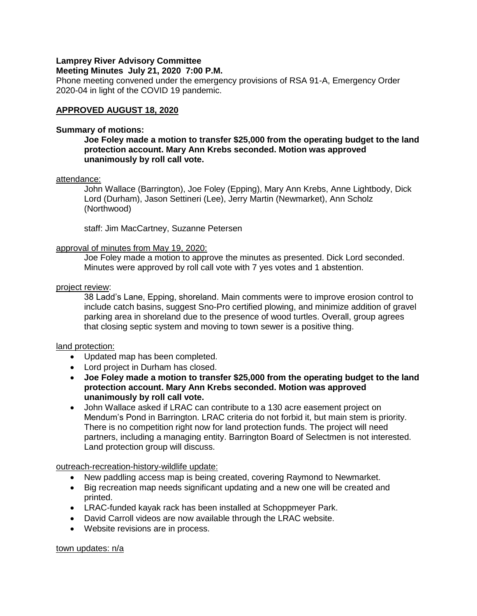# **Lamprey River Advisory Committee**

## **Meeting Minutes July 21, 2020 7:00 P.M.**

Phone meeting convened under the emergency provisions of RSA 91-A, Emergency Order 2020-04 in light of the COVID 19 pandemic.

## **APPROVED AUGUST 18, 2020**

### **Summary of motions:**

## **Joe Foley made a motion to transfer \$25,000 from the operating budget to the land protection account. Mary Ann Krebs seconded. Motion was approved unanimously by roll call vote.**

## attendance:

John Wallace (Barrington), Joe Foley (Epping), Mary Ann Krebs, Anne Lightbody, Dick Lord (Durham), Jason Settineri (Lee), Jerry Martin (Newmarket), Ann Scholz (Northwood)

staff: Jim MacCartney, Suzanne Petersen

## approval of minutes from May 19, 2020:

Joe Foley made a motion to approve the minutes as presented. Dick Lord seconded. Minutes were approved by roll call vote with 7 yes votes and 1 abstention.

## project review:

38 Ladd's Lane, Epping, shoreland. Main comments were to improve erosion control to include catch basins, suggest Sno-Pro certified plowing, and minimize addition of gravel parking area in shoreland due to the presence of wood turtles. Overall, group agrees that closing septic system and moving to town sewer is a positive thing.

## land protection:

- Updated map has been completed.
- Lord project in Durham has closed.
- **Joe Foley made a motion to transfer \$25,000 from the operating budget to the land protection account. Mary Ann Krebs seconded. Motion was approved unanimously by roll call vote.**
- John Wallace asked if LRAC can contribute to a 130 acre easement project on Mendum's Pond in Barrington. LRAC criteria do not forbid it, but main stem is priority. There is no competition right now for land protection funds. The project will need partners, including a managing entity. Barrington Board of Selectmen is not interested. Land protection group will discuss.

### outreach-recreation-history-wildlife update:

- New paddling access map is being created, covering Raymond to Newmarket.
- Big recreation map needs significant updating and a new one will be created and printed.
- LRAC-funded kayak rack has been installed at Schoppmeyer Park.
- David Carroll videos are now available through the LRAC website.
- Website revisions are in process.

town updates: n/a